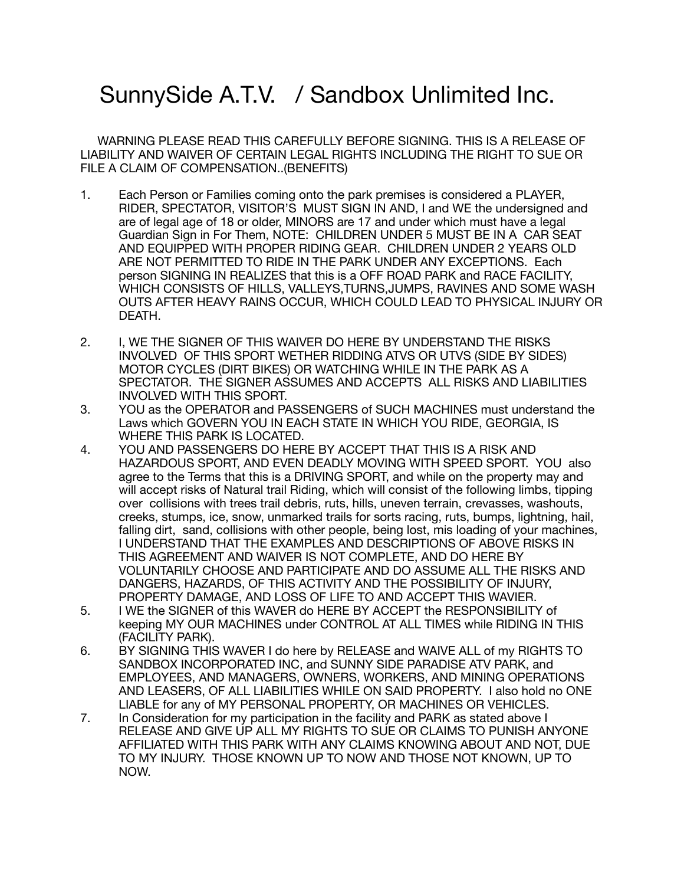## SunnySide A.T.V. / Sandbox Unlimited Inc.

 WARNING PLEASE READ THIS CAREFULLY BEFORE SIGNING. THIS IS A RELEASE OF LIABILITY AND WAIVER OF CERTAIN LEGAL RIGHTS INCLUDING THE RIGHT TO SUE OR FILE A CLAIM OF COMPENSATION..(BENEFITS)

- 1. Each Person or Families coming onto the park premises is considered a PLAYER, RIDER, SPECTATOR, VISITOR'S MUST SIGN IN AND, I and WE the undersigned and are of legal age of 18 or older, MINORS are 17 and under which must have a legal Guardian Sign in For Them, NOTE: CHILDREN UNDER 5 MUST BE IN A CAR SEAT AND EQUIPPED WITH PROPER RIDING GEAR. CHILDREN UNDER 2 YEARS OLD ARE NOT PERMITTED TO RIDE IN THE PARK UNDER ANY EXCEPTIONS. Each person SIGNING IN REALIZES that this is a OFF ROAD PARK and RACE FACILITY, WHICH CONSISTS OF HILLS, VALLEYS,TURNS,JUMPS, RAVINES AND SOME WASH OUTS AFTER HEAVY RAINS OCCUR, WHICH COULD LEAD TO PHYSICAL INJURY OR DEATH.
- 2. I, WE THE SIGNER OF THIS WAIVER DO HERE BY UNDERSTAND THE RISKS INVOLVED OF THIS SPORT WETHER RIDDING ATVS OR UTVS (SIDE BY SIDES) MOTOR CYCLES (DIRT BIKES) OR WATCHING WHILE IN THE PARK AS A SPECTATOR. THE SIGNER ASSUMES AND ACCEPTS ALL RISKS AND LIABILITIES INVOLVED WITH THIS SPORT.
- 3. YOU as the OPERATOR and PASSENGERS of SUCH MACHINES must understand the Laws which GOVERN YOU IN EACH STATE IN WHICH YOU RIDE, GEORGIA, IS WHERE THIS PARK IS LOCATED.
- 4. YOU AND PASSENGERS DO HERE BY ACCEPT THAT THIS IS A RISK AND HAZARDOUS SPORT, AND EVEN DEADLY MOVING WITH SPEED SPORT. YOU also agree to the Terms that this is a DRIVING SPORT, and while on the property may and will accept risks of Natural trail Riding, which will consist of the following limbs, tipping over collisions with trees trail debris, ruts, hills, uneven terrain, crevasses, washouts, creeks, stumps, ice, snow, unmarked trails for sorts racing, ruts, bumps, lightning, hail, falling dirt, sand, collisions with other people, being lost, mis loading of your machines, I UNDERSTAND THAT THE EXAMPLES AND DESCRIPTIONS OF ABOVE RISKS IN THIS AGREEMENT AND WAIVER IS NOT COMPLETE, AND DO HERE BY VOLUNTARILY CHOOSE AND PARTICIPATE AND DO ASSUME ALL THE RISKS AND DANGERS, HAZARDS, OF THIS ACTIVITY AND THE POSSIBILITY OF INJURY, PROPERTY DAMAGE, AND LOSS OF LIFE TO AND ACCEPT THIS WAVIER.
- 5. I WE the SIGNER of this WAVER do HERE BY ACCEPT the RESPONSIBILITY of keeping MY OUR MACHINES under CONTROL AT ALL TIMES while RIDING IN THIS (FACILITY PARK).
- 6. BY SIGNING THIS WAVER I do here by RELEASE and WAIVE ALL of my RIGHTS TO SANDBOX INCORPORATED INC, and SUNNY SIDE PARADISE ATV PARK, and EMPLOYEES, AND MANAGERS, OWNERS, WORKERS, AND MINING OPERATIONS AND LEASERS, OF ALL LIABILITIES WHILE ON SAID PROPERTY. I also hold no ONE LIABLE for any of MY PERSONAL PROPERTY, OR MACHINES OR VEHICLES.
- 7. In Consideration for my participation in the facility and PARK as stated above I RELEASE AND GIVE UP ALL MY RIGHTS TO SUE OR CLAIMS TO PUNISH ANYONE AFFILIATED WITH THIS PARK WITH ANY CLAIMS KNOWING ABOUT AND NOT, DUE TO MY INJURY. THOSE KNOWN UP TO NOW AND THOSE NOT KNOWN, UP TO NOW.